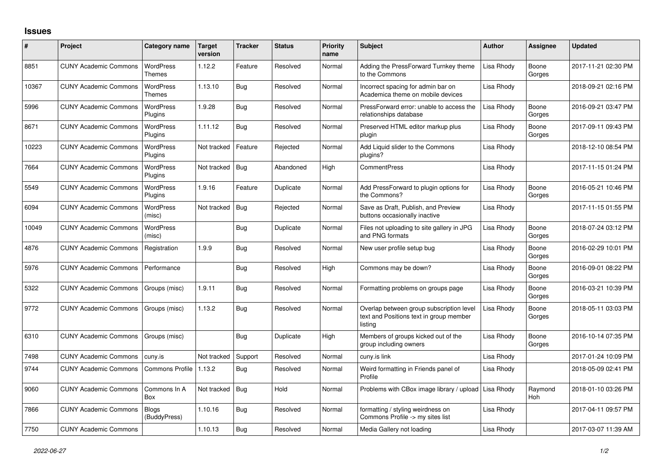## **Issues**

| #     | Project                      | Category name                     | Target<br>version | <b>Tracker</b> | <b>Status</b> | <b>Priority</b><br>name | <b>Subject</b>                                                                                 | <b>Author</b> | <b>Assignee</b>       | <b>Updated</b>      |
|-------|------------------------------|-----------------------------------|-------------------|----------------|---------------|-------------------------|------------------------------------------------------------------------------------------------|---------------|-----------------------|---------------------|
| 8851  | <b>CUNY Academic Commons</b> | <b>WordPress</b><br><b>Themes</b> | 1.12.2            | Feature        | Resolved      | Normal                  | Adding the PressForward Turnkey theme<br>to the Commons                                        | Lisa Rhody    | Boone<br>Gorges       | 2017-11-21 02:30 PM |
| 10367 | <b>CUNY Academic Commons</b> | <b>WordPress</b><br><b>Themes</b> | 1.13.10           | <b>Bug</b>     | Resolved      | Normal                  | Incorrect spacing for admin bar on<br>Academica theme on mobile devices                        | Lisa Rhody    |                       | 2018-09-21 02:16 PM |
| 5996  | <b>CUNY Academic Commons</b> | <b>WordPress</b><br>Plugins       | 1.9.28            | Bug            | Resolved      | Normal                  | PressForward error: unable to access the<br>relationships database                             | Lisa Rhody    | Boone<br>Gorges       | 2016-09-21 03:47 PM |
| 8671  | <b>CUNY Academic Commons</b> | <b>WordPress</b><br>Plugins       | 1.11.12           | Bug            | Resolved      | Normal                  | Preserved HTML editor markup plus<br>plugin                                                    | Lisa Rhody    | Boone<br>Gorges       | 2017-09-11 09:43 PM |
| 10223 | <b>CUNY Academic Commons</b> | WordPress<br>Plugins              | Not tracked       | Feature        | Rejected      | Normal                  | Add Liquid slider to the Commons<br>plugins?                                                   | Lisa Rhody    |                       | 2018-12-10 08:54 PM |
| 7664  | <b>CUNY Academic Commons</b> | WordPress<br>Plugins              | Not tracked       | <b>Bug</b>     | Abandoned     | High                    | <b>CommentPress</b>                                                                            | Lisa Rhody    |                       | 2017-11-15 01:24 PM |
| 5549  | <b>CUNY Academic Commons</b> | <b>WordPress</b><br>Plugins       | 1.9.16            | Feature        | Duplicate     | Normal                  | Add PressForward to plugin options for<br>the Commons?                                         | Lisa Rhody    | Boone<br>Gorges       | 2016-05-21 10:46 PM |
| 6094  | <b>CUNY Academic Commons</b> | <b>WordPress</b><br>(misc)        | Not tracked       | <b>Bug</b>     | Rejected      | Normal                  | Save as Draft, Publish, and Preview<br>buttons occasionally inactive                           | Lisa Rhody    |                       | 2017-11-15 01:55 PM |
| 10049 | <b>CUNY Academic Commons</b> | <b>WordPress</b><br>(misc)        |                   | <b>Bug</b>     | Duplicate     | Normal                  | Files not uploading to site gallery in JPG<br>and PNG formats                                  | Lisa Rhody    | Boone<br>Gorges       | 2018-07-24 03:12 PM |
| 4876  | <b>CUNY Academic Commons</b> | Registration                      | 1.9.9             | <b>Bug</b>     | Resolved      | Normal                  | New user profile setup bug                                                                     | Lisa Rhody    | Boone<br>Gorges       | 2016-02-29 10:01 PM |
| 5976  | <b>CUNY Academic Commons</b> | Performance                       |                   | Bug            | Resolved      | High                    | Commons may be down?                                                                           | Lisa Rhody    | Boone<br>Gorges       | 2016-09-01 08:22 PM |
| 5322  | <b>CUNY Academic Commons</b> | Groups (misc)                     | 1.9.11            | Bug            | Resolved      | Normal                  | Formatting problems on groups page                                                             | Lisa Rhody    | Boone<br>Gorges       | 2016-03-21 10:39 PM |
| 9772  | <b>CUNY Academic Commons</b> | Groups (misc)                     | 1.13.2            | Bug            | Resolved      | Normal                  | Overlap between group subscription level<br>text and Positions text in group member<br>listing | Lisa Rhody    | Boone<br>Gorges       | 2018-05-11 03:03 PM |
| 6310  | <b>CUNY Academic Commons</b> | Groups (misc)                     |                   | Bug            | Duplicate     | High                    | Members of groups kicked out of the<br>group including owners                                  | Lisa Rhody    | Boone<br>Gorges       | 2016-10-14 07:35 PM |
| 7498  | <b>CUNY Academic Commons</b> | cuny.is                           | Not tracked       | Support        | Resolved      | Normal                  | cuny.is link                                                                                   | Lisa Rhody    |                       | 2017-01-24 10:09 PM |
| 9744  | <b>CUNY Academic Commons</b> | <b>Commons Profile</b>            | 1.13.2            | Bug            | Resolved      | Normal                  | Weird formatting in Friends panel of<br>Profile                                                | Lisa Rhody    |                       | 2018-05-09 02:41 PM |
| 9060  | <b>CUNY Academic Commons</b> | Commons In A<br>Box               | Not tracked       | Bug            | Hold          | Normal                  | Problems with CBox image library / upload                                                      | Lisa Rhody    | Raymond<br><b>Hoh</b> | 2018-01-10 03:26 PM |
| 7866  | <b>CUNY Academic Commons</b> | <b>Blogs</b><br>(BuddyPress)      | 1.10.16           | Bug            | Resolved      | Normal                  | formatting / styling weirdness on<br>Commons Profile -> my sites list                          | Lisa Rhody    |                       | 2017-04-11 09:57 PM |
| 7750  | <b>CUNY Academic Commons</b> |                                   | 1.10.13           | Bug            | Resolved      | Normal                  | Media Gallery not loading                                                                      | Lisa Rhody    |                       | 2017-03-07 11:39 AM |